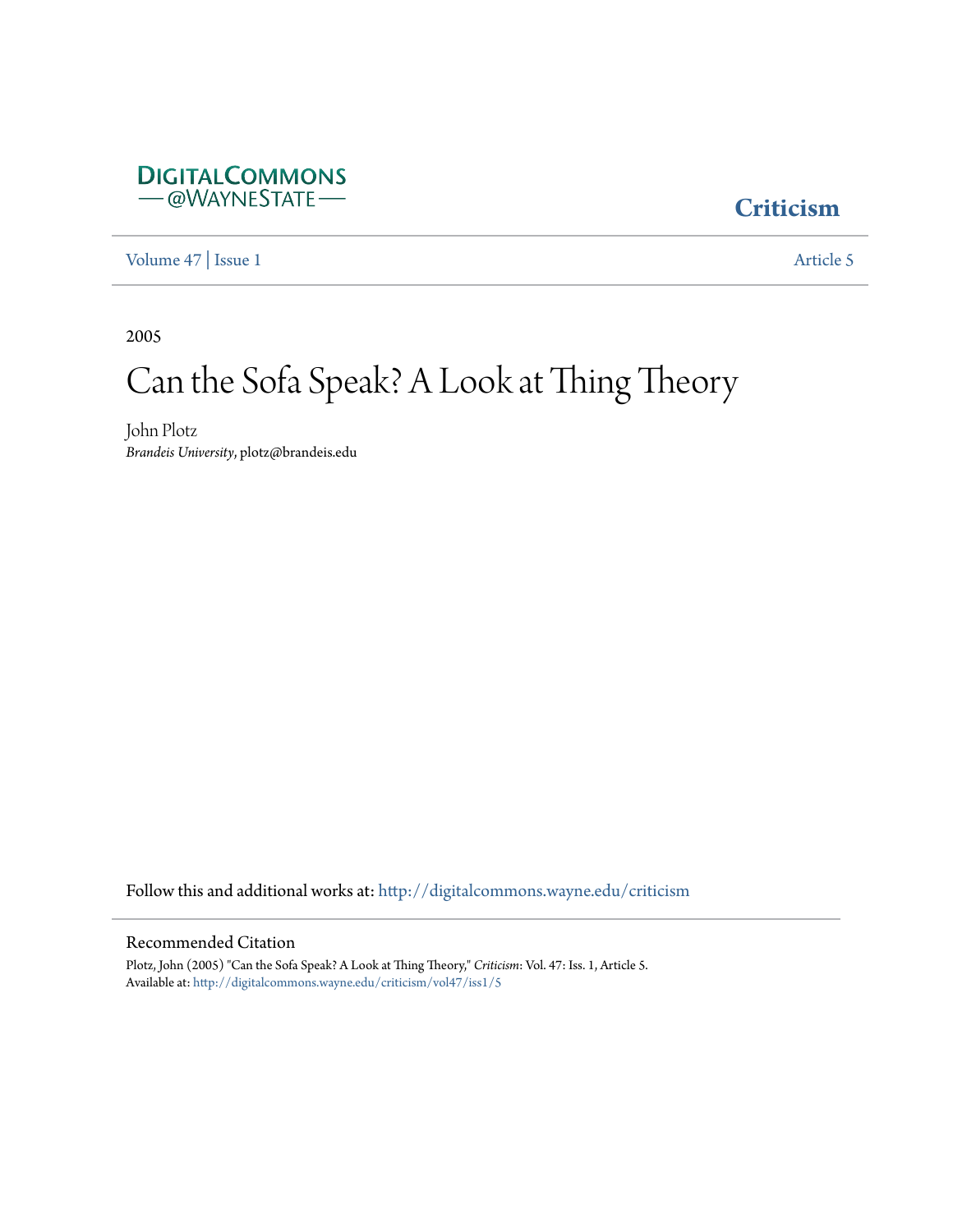### **DIGITALCOMMONS** - @WAYNESTATE-

## **[Criticism](http://digitalcommons.wayne.edu/criticism?utm_source=digitalcommons.wayne.edu%2Fcriticism%2Fvol47%2Fiss1%2F5&utm_medium=PDF&utm_campaign=PDFCoverPages)**

[Volume 47](http://digitalcommons.wayne.edu/criticism/vol47?utm_source=digitalcommons.wayne.edu%2Fcriticism%2Fvol47%2Fiss1%2F5&utm_medium=PDF&utm_campaign=PDFCoverPages) | [Issue 1](http://digitalcommons.wayne.edu/criticism/vol47/iss1?utm_source=digitalcommons.wayne.edu%2Fcriticism%2Fvol47%2Fiss1%2F5&utm_medium=PDF&utm_campaign=PDFCoverPages) [Article 5](http://digitalcommons.wayne.edu/criticism/vol47/iss1/5?utm_source=digitalcommons.wayne.edu%2Fcriticism%2Fvol47%2Fiss1%2F5&utm_medium=PDF&utm_campaign=PDFCoverPages)

2005

# Can the Sofa Speak? A Look at Thing Theory

John Plotz *Brandeis University*, plotz@brandeis.edu

Follow this and additional works at: [http://digitalcommons.wayne.edu/criticism](http://digitalcommons.wayne.edu/criticism?utm_source=digitalcommons.wayne.edu%2Fcriticism%2Fvol47%2Fiss1%2F5&utm_medium=PDF&utm_campaign=PDFCoverPages)

#### Recommended Citation

Plotz, John (2005) "Can the Sofa Speak? A Look at Thing Theory," *Criticism*: Vol. 47: Iss. 1, Article 5. Available at: [http://digitalcommons.wayne.edu/criticism/vol47/iss1/5](http://digitalcommons.wayne.edu/criticism/vol47/iss1/5?utm_source=digitalcommons.wayne.edu%2Fcriticism%2Fvol47%2Fiss1%2F5&utm_medium=PDF&utm_campaign=PDFCoverPages)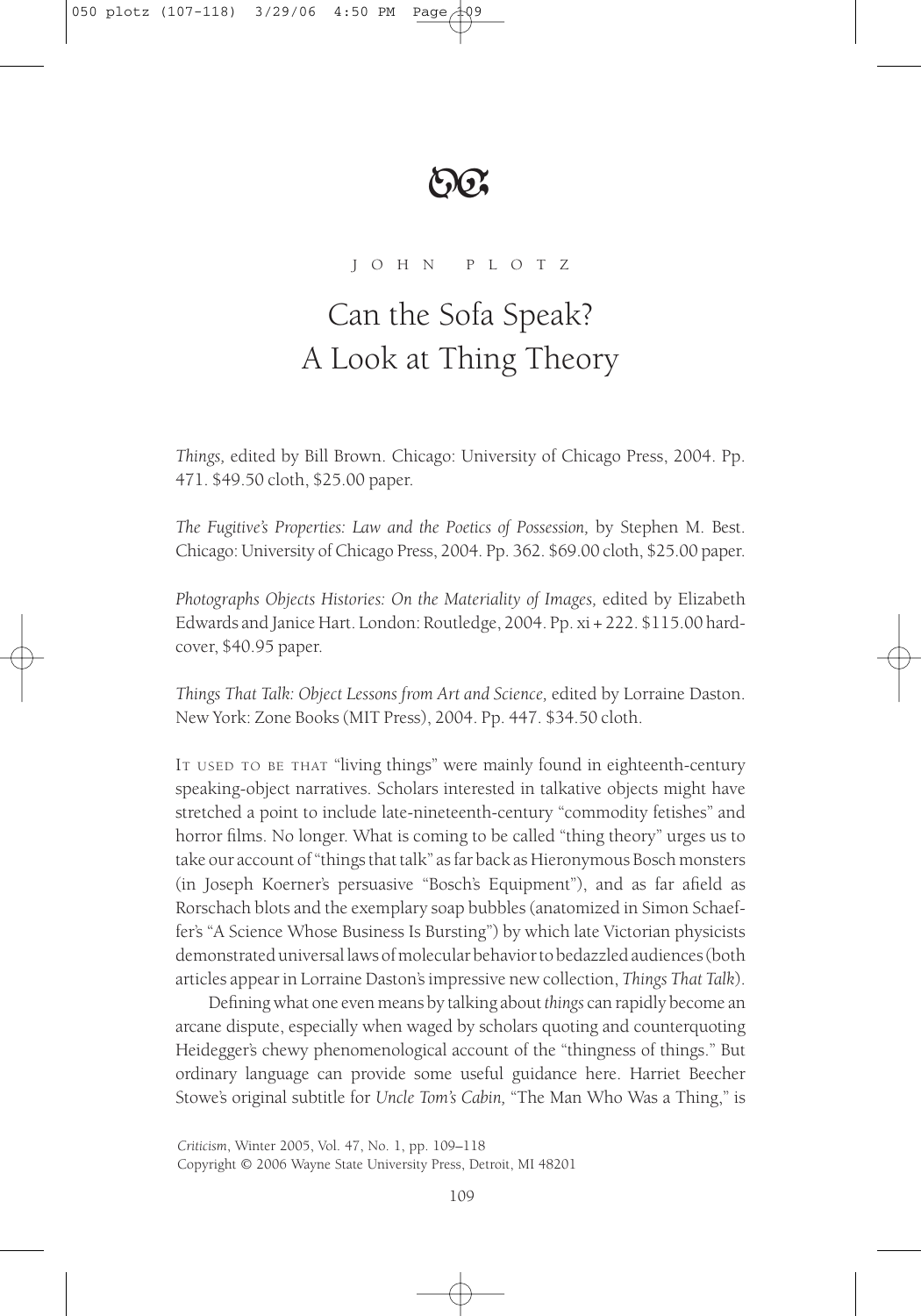OC.

JOHN PLOTZ

## Can the Sofa Speak? A Look at Thing Theory

*Things,* edited by Bill Brown. Chicago: University of Chicago Press, 2004. Pp. 471. \$49.50 cloth, \$25.00 paper.

*The Fugitive's Properties: Law and the Poetics of Possession,* by Stephen M. Best. Chicago: University of Chicago Press, 2004. Pp. 362. \$69.00 cloth, \$25.00 paper.

*Photographs Objects Histories: On the Materiality of Images,* edited by Elizabeth Edwards and Janice Hart. London: Routledge, 2004. Pp. xi + 222. \$115.00 hardcover, \$40.95 paper.

*Things That Talk: Object Lessons from Art and Science,* edited by Lorraine Daston. New York: Zone Books (MIT Press), 2004. Pp. 447. \$34.50 cloth.

IT USED TO BE THAT "living things" were mainly found in eighteenth-century speaking-object narratives. Scholars interested in talkative objects might have stretched a point to include late-nineteenth-century "commodity fetishes" and horror films. No longer. What is coming to be called "thing theory" urges us to take our account of "things that talk" as far back as Hieronymous Bosch monsters (in Joseph Koerner's persuasive "Bosch's Equipment"), and as far afield as Rorschach blots and the exemplary soap bubbles (anatomized in Simon Schaeffer's "A Science Whose Business Is Bursting") by which late Victorian physicists demonstrated universal laws of molecular behavior to bedazzled audiences (both articles appear in Lorraine Daston's impressive new collection, *Things That Talk*).

Defining what one even means by talking about *things* can rapidly become an arcane dispute, especially when waged by scholars quoting and counterquoting Heidegger's chewy phenomenological account of the "thingness of things." But ordinary language can provide some useful guidance here. Harriet Beecher Stowe's original subtitle for *Uncle Tom's Cabin,* "The Man Who Was a Thing," is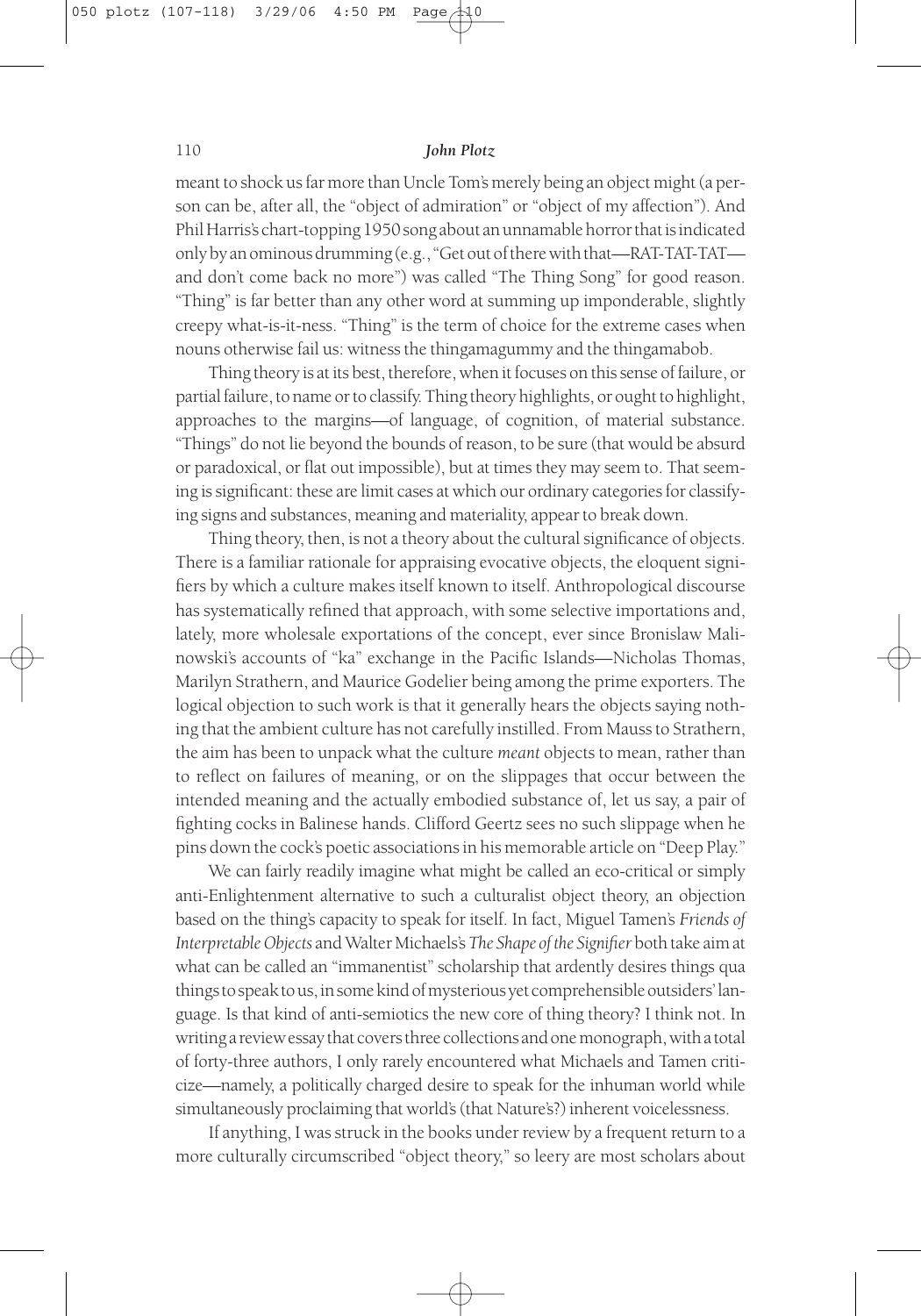meant to shock us far more than Uncle Tom's merely being an object might (a person can be, after all, the "object of admiration" or "object of my affection"). And Phil Harris's chart-topping 1950 song about an unnamable horror that is indicated only by an ominous drumming (e.g., "Get out of there with that—RAT-TAT-TAT and don't come back no more") was called "The Thing Song" for good reason. "Thing" is far better than any other word at summing up imponderable, slightly creepy what-is-it-ness. "Thing" is the term of choice for the extreme cases when nouns otherwise fail us: witness the thingamagummy and the thingamabob.

Thing theory is at its best, therefore, when it focuses on this sense of failure, or partial failure, to name or to classify. Thing theory highlights, or ought to highlight, approaches to the margins—of language, of cognition, of material substance. "Things" do not lie beyond the bounds of reason, to be sure (that would be absurd or paradoxical, or flat out impossible), but at times they may seem to. That seeming is significant: these are limit cases at which our ordinary categories for classifying signs and substances, meaning and materiality, appear to break down.

Thing theory, then, is not a theory about the cultural significance of objects. There is a familiar rationale for appraising evocative objects, the eloquent signifiers by which a culture makes itself known to itself. Anthropological discourse has systematically refined that approach, with some selective importations and, lately, more wholesale exportations of the concept, ever since Bronislaw Malinowski's accounts of "ka" exchange in the Pacific Islands—Nicholas Thomas, Marilyn Strathern, and Maurice Godelier being among the prime exporters. The logical objection to such work is that it generally hears the objects saying nothing that the ambient culture has not carefully instilled. From Mauss to Strathern, the aim has been to unpack what the culture *meant* objects to mean, rather than to reflect on failures of meaning, or on the slippages that occur between the intended meaning and the actually embodied substance of, let us say, a pair of fighting cocks in Balinese hands. Clifford Geertz sees no such slippage when he pins down the cock's poetic associations in his memorable article on "Deep Play."

We can fairly readily imagine what might be called an eco-critical or simply anti-Enlightenment alternative to such a culturalist object theory, an objection based on the thing's capacity to speak for itself. In fact, Miguel Tamen's *Friends of Interpretable Objects* and Walter Michaels's *The Shape of the Signifier* both take aim at what can be called an "immanentist" scholarship that ardently desires things qua things to speak to us, in some kind of mysterious yet comprehensible outsiders' language. Is that kind of anti-semiotics the new core of thing theory? I think not. In writing a review essay that covers three collections and one monograph, with a total of forty-three authors, I only rarely encountered what Michaels and Tamen criticize—namely, a politically charged desire to speak for the inhuman world while simultaneously proclaiming that world's (that Nature's?) inherent voicelessness.

If anything, I was struck in the books under review by a frequent return to a more culturally circumscribed "object theory," so leery are most scholars about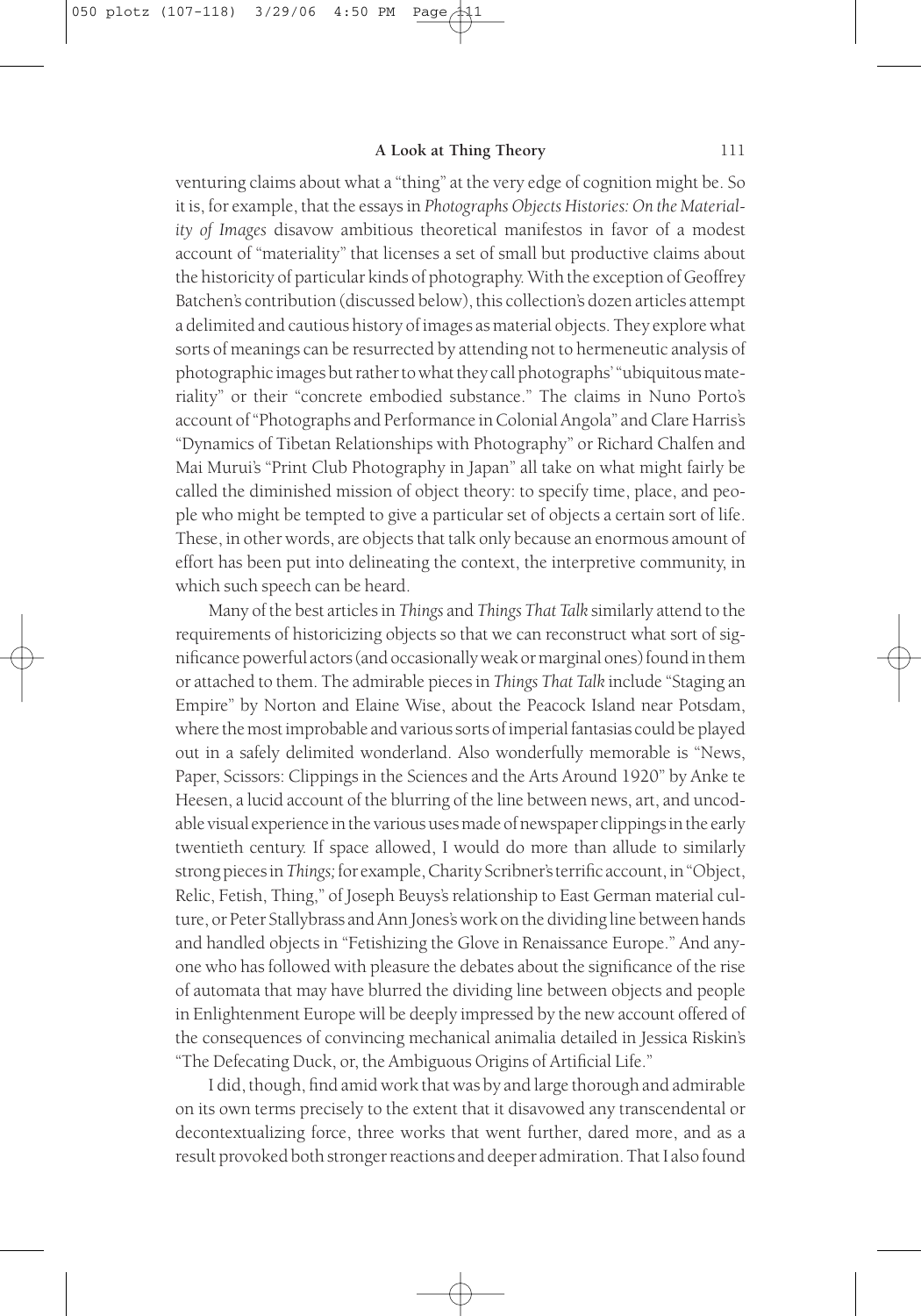venturing claims about what a "thing" at the very edge of cognition might be. So it is, for example, that the essays in *Photographs Objects Histories: On the Materiality of Images* disavow ambitious theoretical manifestos in favor of a modest account of "materiality" that licenses a set of small but productive claims about the historicity of particular kinds of photography. With the exception of Geoffrey Batchen's contribution (discussed below), this collection's dozen articles attempt a delimited and cautious history of images as material objects. They explore what sorts of meanings can be resurrected by attending not to hermeneutic analysis of photographic images but rather to what they call photographs' "ubiquitous materiality" or their "concrete embodied substance." The claims in Nuno Porto's account of "Photographs and Performance in Colonial Angola" and Clare Harris's "Dynamics of Tibetan Relationships with Photography" or Richard Chalfen and Mai Murui's "Print Club Photography in Japan" all take on what might fairly be called the diminished mission of object theory: to specify time, place, and people who might be tempted to give a particular set of objects a certain sort of life. These, in other words, are objects that talk only because an enormous amount of effort has been put into delineating the context, the interpretive community, in which such speech can be heard.

Many of the best articles in *Things* and *Things That Talk* similarly attend to the requirements of historicizing objects so that we can reconstruct what sort of significance powerful actors (and occasionally weak or marginal ones) found in them or attached to them. The admirable pieces in *Things That Talk* include "Staging an Empire" by Norton and Elaine Wise, about the Peacock Island near Potsdam, where the most improbable and various sorts of imperial fantasias could be played out in a safely delimited wonderland. Also wonderfully memorable is "News, Paper, Scissors: Clippings in the Sciences and the Arts Around 1920" by Anke te Heesen, a lucid account of the blurring of the line between news, art, and uncodable visual experience in the various uses made of newspaper clippings in the early twentieth century. If space allowed, I would do more than allude to similarly strong pieces in *Things;*for example, Charity Scribner's terrific account, in "Object, Relic, Fetish, Thing," of Joseph Beuys's relationship to East German material culture, or Peter Stallybrass and Ann Jones's work on the dividing line between hands and handled objects in "Fetishizing the Glove in Renaissance Europe." And anyone who has followed with pleasure the debates about the significance of the rise of automata that may have blurred the dividing line between objects and people in Enlightenment Europe will be deeply impressed by the new account offered of the consequences of convincing mechanical animalia detailed in Jessica Riskin's "The Defecating Duck, or, the Ambiguous Origins of Artificial Life."

I did, though, find amid work that was by and large thorough and admirable on its own terms precisely to the extent that it disavowed any transcendental or decontextualizing force, three works that went further, dared more, and as a result provoked both stronger reactions and deeper admiration. That I also found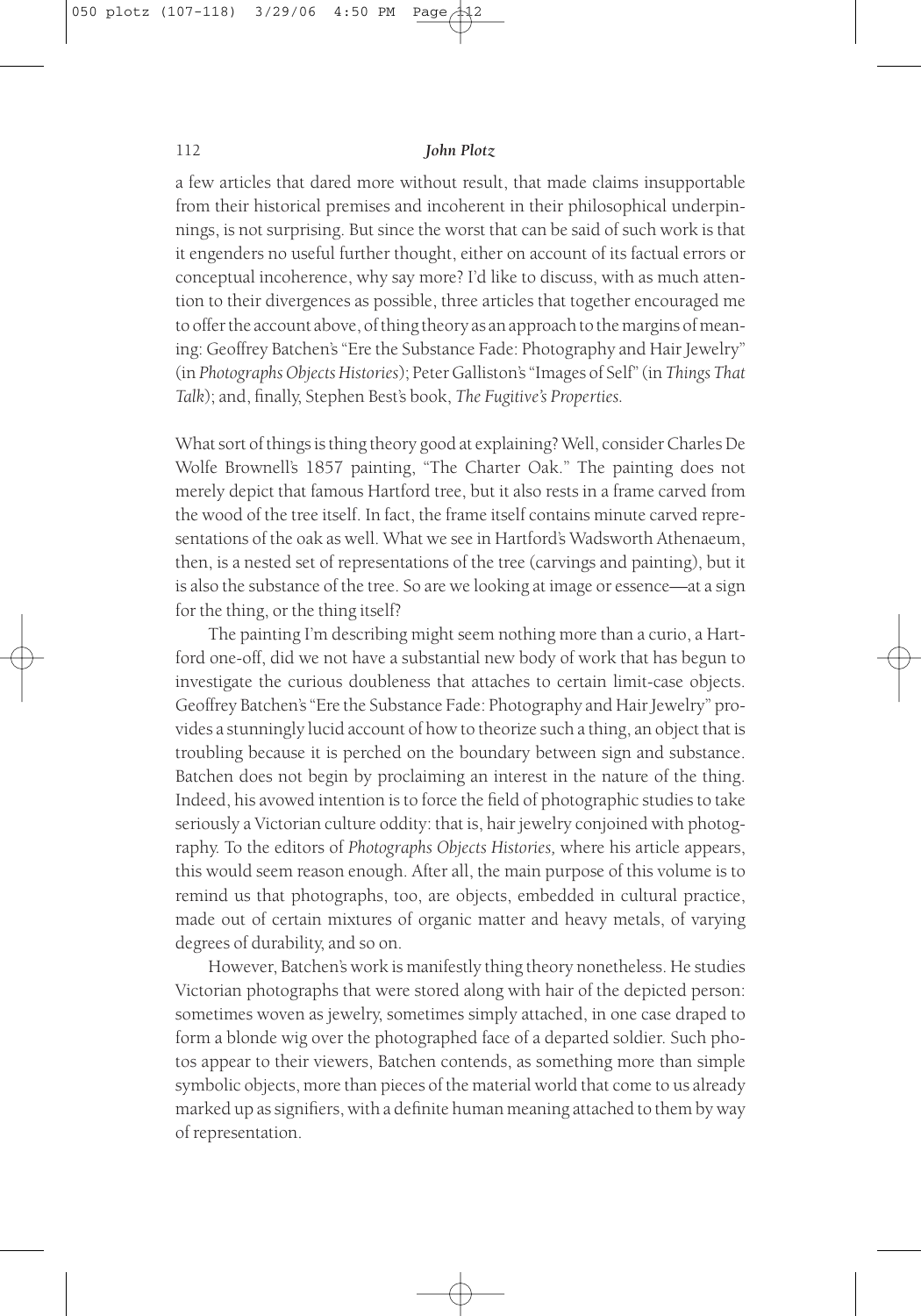a few articles that dared more without result, that made claims insupportable from their historical premises and incoherent in their philosophical underpinnings, is not surprising. But since the worst that can be said of such work is that it engenders no useful further thought, either on account of its factual errors or conceptual incoherence, why say more? I'd like to discuss, with as much attention to their divergences as possible, three articles that together encouraged me to offer the account above, of thing theory as an approach to the margins of meaning: Geoffrey Batchen's "Ere the Substance Fade: Photography and Hair Jewelry" (in *Photographs Objects Histories*); Peter Galliston's "Images of Self" (in *Things That Talk*); and, finally, Stephen Best's book, *The Fugitive's Properties.*

What sort of things is thing theory good at explaining? Well, consider Charles De Wolfe Brownell's 1857 painting, "The Charter Oak." The painting does not merely depict that famous Hartford tree, but it also rests in a frame carved from the wood of the tree itself. In fact, the frame itself contains minute carved representations of the oak as well. What we see in Hartford's Wadsworth Athenaeum, then, is a nested set of representations of the tree (carvings and painting), but it is also the substance of the tree. So are we looking at image or essence—at a sign for the thing, or the thing itself?

The painting I'm describing might seem nothing more than a curio, a Hartford one-off, did we not have a substantial new body of work that has begun to investigate the curious doubleness that attaches to certain limit-case objects. Geoffrey Batchen's "Ere the Substance Fade: Photography and Hair Jewelry" provides a stunningly lucid account of how to theorize such a thing, an object that is troubling because it is perched on the boundary between sign and substance. Batchen does not begin by proclaiming an interest in the nature of the thing. Indeed, his avowed intention is to force the field of photographic studies to take seriously a Victorian culture oddity: that is, hair jewelry conjoined with photography. To the editors of *Photographs Objects Histories,* where his article appears, this would seem reason enough. After all, the main purpose of this volume is to remind us that photographs, too, are objects, embedded in cultural practice, made out of certain mixtures of organic matter and heavy metals, of varying degrees of durability, and so on.

However, Batchen's work is manifestly thing theory nonetheless. He studies Victorian photographs that were stored along with hair of the depicted person: sometimes woven as jewelry, sometimes simply attached, in one case draped to form a blonde wig over the photographed face of a departed soldier. Such photos appear to their viewers, Batchen contends, as something more than simple symbolic objects, more than pieces of the material world that come to us already marked up as signifiers, with a definite human meaning attached to them by way of representation.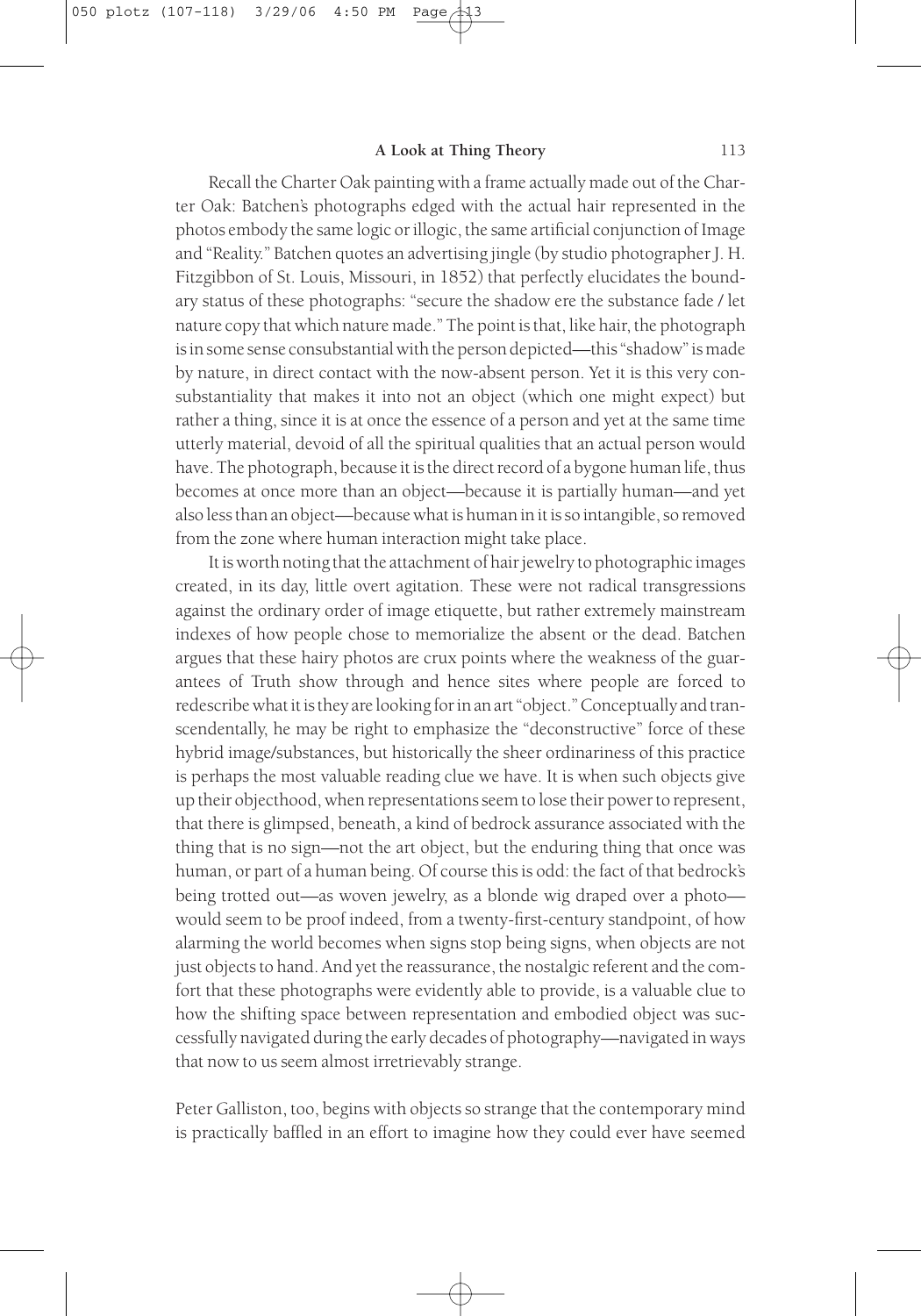Recall the Charter Oak painting with a frame actually made out of the Charter Oak: Batchen's photographs edged with the actual hair represented in the photos embody the same logic or illogic, the same artificial conjunction of Image and "Reality." Batchen quotes an advertising jingle (by studio photographer J. H. Fitzgibbon of St. Louis, Missouri, in 1852) that perfectly elucidates the boundary status of these photographs: "secure the shadow ere the substance fade / let nature copy that which nature made." The point is that, like hair, the photograph is in some sense consubstantial with the person depicted—this "shadow" is made by nature, in direct contact with the now-absent person. Yet it is this very consubstantiality that makes it into not an object (which one might expect) but rather a thing, since it is at once the essence of a person and yet at the same time utterly material, devoid of all the spiritual qualities that an actual person would have. The photograph, because it is the direct record of a bygone human life, thus becomes at once more than an object—because it is partially human—and yet also less than an object—because what is human in it is so intangible, so removed from the zone where human interaction might take place.

It is worth noting that the attachment of hair jewelry to photographic images created, in its day, little overt agitation. These were not radical transgressions against the ordinary order of image etiquette, but rather extremely mainstream indexes of how people chose to memorialize the absent or the dead. Batchen argues that these hairy photos are crux points where the weakness of the guarantees of Truth show through and hence sites where people are forced to redescribe what it is they are looking for in an art "object." Conceptually and transcendentally, he may be right to emphasize the "deconstructive" force of these hybrid image/substances, but historically the sheer ordinariness of this practice is perhaps the most valuable reading clue we have. It is when such objects give up their objecthood, when representations seem to lose their power to represent, that there is glimpsed, beneath, a kind of bedrock assurance associated with the thing that is no sign—not the art object, but the enduring thing that once was human, or part of a human being. Of course this is odd: the fact of that bedrock's being trotted out—as woven jewelry, as a blonde wig draped over a photo would seem to be proof indeed, from a twenty-first-century standpoint, of how alarming the world becomes when signs stop being signs, when objects are not just objects to hand. And yet the reassurance, the nostalgic referent and the comfort that these photographs were evidently able to provide, is a valuable clue to how the shifting space between representation and embodied object was successfully navigated during the early decades of photography—navigated in ways that now to us seem almost irretrievably strange.

Peter Galliston, too, begins with objects so strange that the contemporary mind is practically baffled in an effort to imagine how they could ever have seemed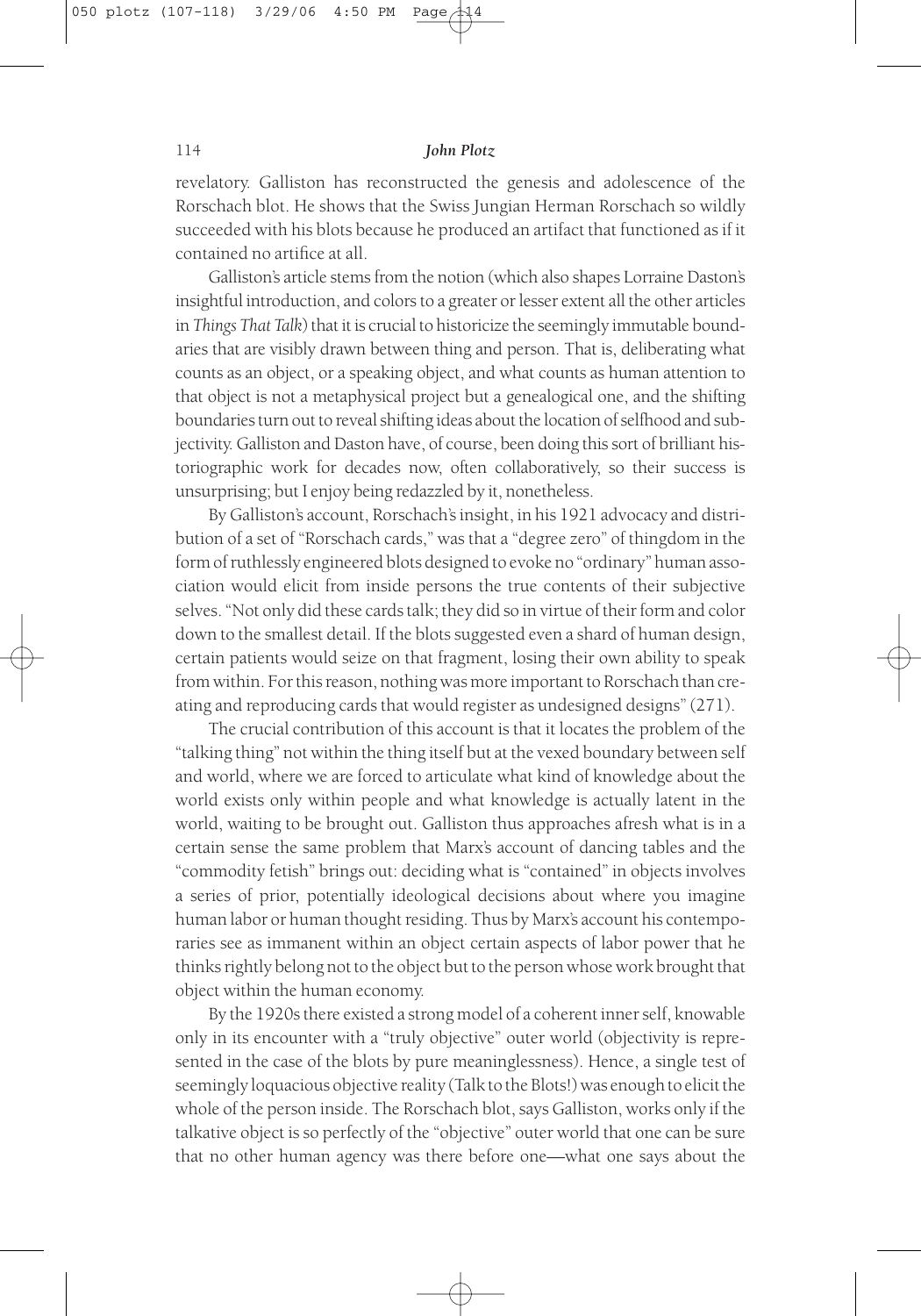revelatory. Galliston has reconstructed the genesis and adolescence of the Rorschach blot. He shows that the Swiss Jungian Herman Rorschach so wildly succeeded with his blots because he produced an artifact that functioned as if it contained no artifice at all.

Galliston's article stems from the notion (which also shapes Lorraine Daston's insightful introduction, and colors to a greater or lesser extent all the other articles in *Things That Talk*) that it is crucial to historicize the seemingly immutable boundaries that are visibly drawn between thing and person. That is, deliberating what counts as an object, or a speaking object, and what counts as human attention to that object is not a metaphysical project but a genealogical one, and the shifting boundaries turn out to reveal shifting ideas about the location of selfhood and subjectivity. Galliston and Daston have, of course, been doing this sort of brilliant historiographic work for decades now, often collaboratively, so their success is unsurprising; but I enjoy being redazzled by it, nonetheless.

By Galliston's account, Rorschach's insight, in his 1921 advocacy and distribution of a set of "Rorschach cards," was that a "degree zero" of thingdom in the form of ruthlessly engineered blots designed to evoke no "ordinary" human association would elicit from inside persons the true contents of their subjective selves. "Not only did these cards talk; they did so in virtue of their form and color down to the smallest detail. If the blots suggested even a shard of human design, certain patients would seize on that fragment, losing their own ability to speak from within. For this reason, nothing was more important to Rorschach than creating and reproducing cards that would register as undesigned designs" (271).

The crucial contribution of this account is that it locates the problem of the "talking thing" not within the thing itself but at the vexed boundary between self and world, where we are forced to articulate what kind of knowledge about the world exists only within people and what knowledge is actually latent in the world, waiting to be brought out. Galliston thus approaches afresh what is in a certain sense the same problem that Marx's account of dancing tables and the "commodity fetish" brings out: deciding what is "contained" in objects involves a series of prior, potentially ideological decisions about where you imagine human labor or human thought residing. Thus by Marx's account his contemporaries see as immanent within an object certain aspects of labor power that he thinks rightly belong not to the object but to the person whose work brought that object within the human economy.

By the 1920s there existed a strong model of a coherent inner self, knowable only in its encounter with a "truly objective" outer world (objectivity is represented in the case of the blots by pure meaninglessness). Hence, a single test of seemingly loquacious objective reality (Talk to the Blots!) was enough to elicit the whole of the person inside. The Rorschach blot, says Galliston, works only if the talkative object is so perfectly of the "objective" outer world that one can be sure that no other human agency was there before one—what one says about the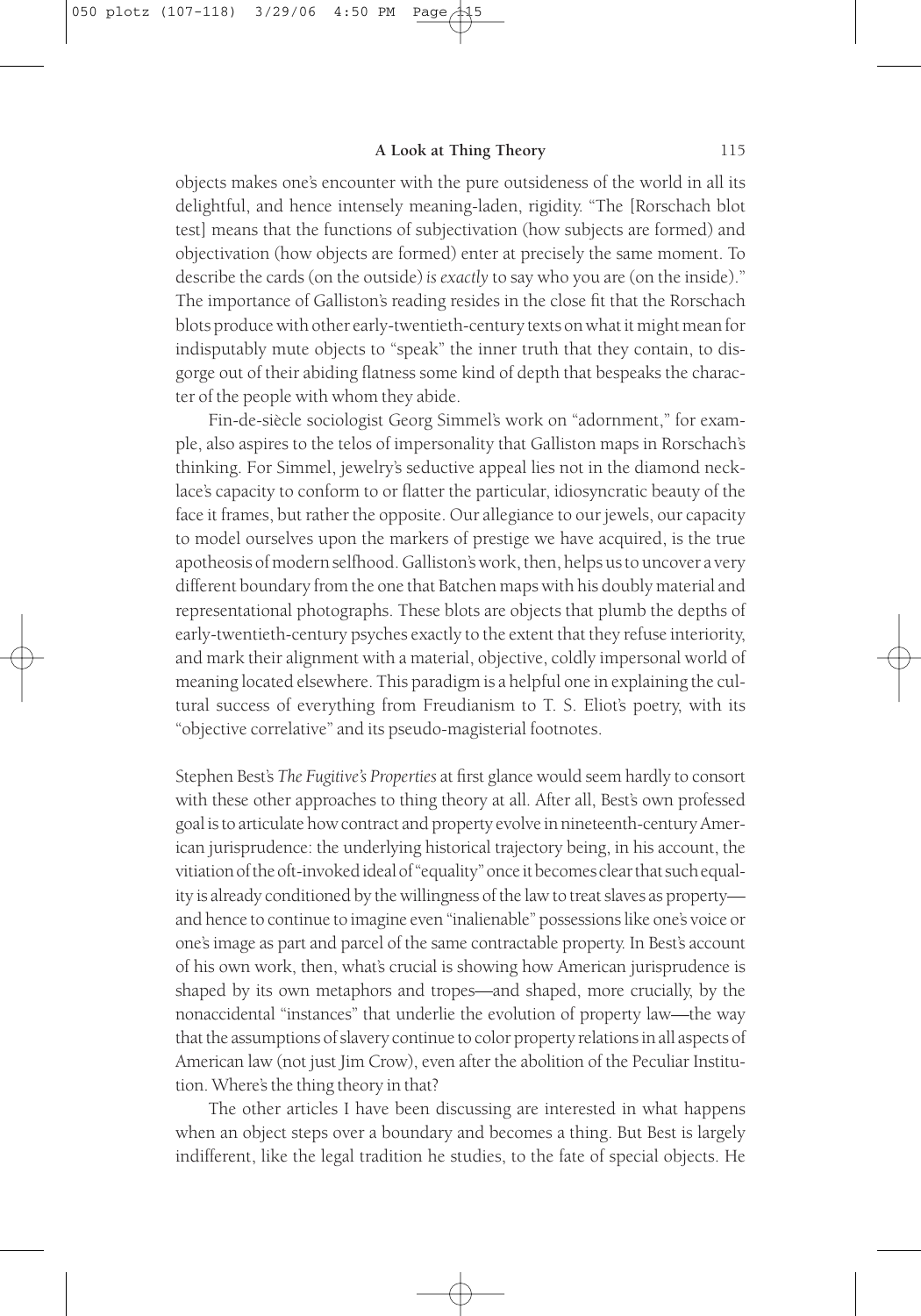objects makes one's encounter with the pure outsideness of the world in all its delightful, and hence intensely meaning-laden, rigidity. "The [Rorschach blot test] means that the functions of subjectivation (how subjects are formed) and objectivation (how objects are formed) enter at precisely the same moment. To describe the cards (on the outside) *is exactly* to say who you are (on the inside)." The importance of Galliston's reading resides in the close fit that the Rorschach blots produce with other early-twentieth-century texts on what it might mean for indisputably mute objects to "speak" the inner truth that they contain, to disgorge out of their abiding flatness some kind of depth that bespeaks the character of the people with whom they abide.

Fin-de-siècle sociologist Georg Simmel's work on "adornment," for example, also aspires to the telos of impersonality that Galliston maps in Rorschach's thinking. For Simmel, jewelry's seductive appeal lies not in the diamond necklace's capacity to conform to or flatter the particular, idiosyncratic beauty of the face it frames, but rather the opposite. Our allegiance to our jewels, our capacity to model ourselves upon the markers of prestige we have acquired, is the true apotheosis of modern selfhood. Galliston's work, then, helps us to uncover a very different boundary from the one that Batchen maps with his doubly material and representational photographs. These blots are objects that plumb the depths of early-twentieth-century psyches exactly to the extent that they refuse interiority, and mark their alignment with a material, objective, coldly impersonal world of meaning located elsewhere. This paradigm is a helpful one in explaining the cultural success of everything from Freudianism to T. S. Eliot's poetry, with its "objective correlative" and its pseudo-magisterial footnotes.

Stephen Best's *The Fugitive's Properties* at first glance would seem hardly to consort with these other approaches to thing theory at all. After all, Best's own professed goal is to articulate how contract and property evolve in nineteenth-century American jurisprudence: the underlying historical trajectory being, in his account, the vitiation of the oft-invoked ideal of "equality" once it becomes clear that such equality is already conditioned by the willingness of the law to treat slaves as property and hence to continue to imagine even "inalienable" possessions like one's voice or one's image as part and parcel of the same contractable property. In Best's account of his own work, then, what's crucial is showing how American jurisprudence is shaped by its own metaphors and tropes—and shaped, more crucially, by the nonaccidental "instances" that underlie the evolution of property law—the way that the assumptions of slavery continue to color property relations in all aspects of American law (not just Jim Crow), even after the abolition of the Peculiar Institution. Where's the thing theory in that?

The other articles I have been discussing are interested in what happens when an object steps over a boundary and becomes a thing. But Best is largely indifferent, like the legal tradition he studies, to the fate of special objects. He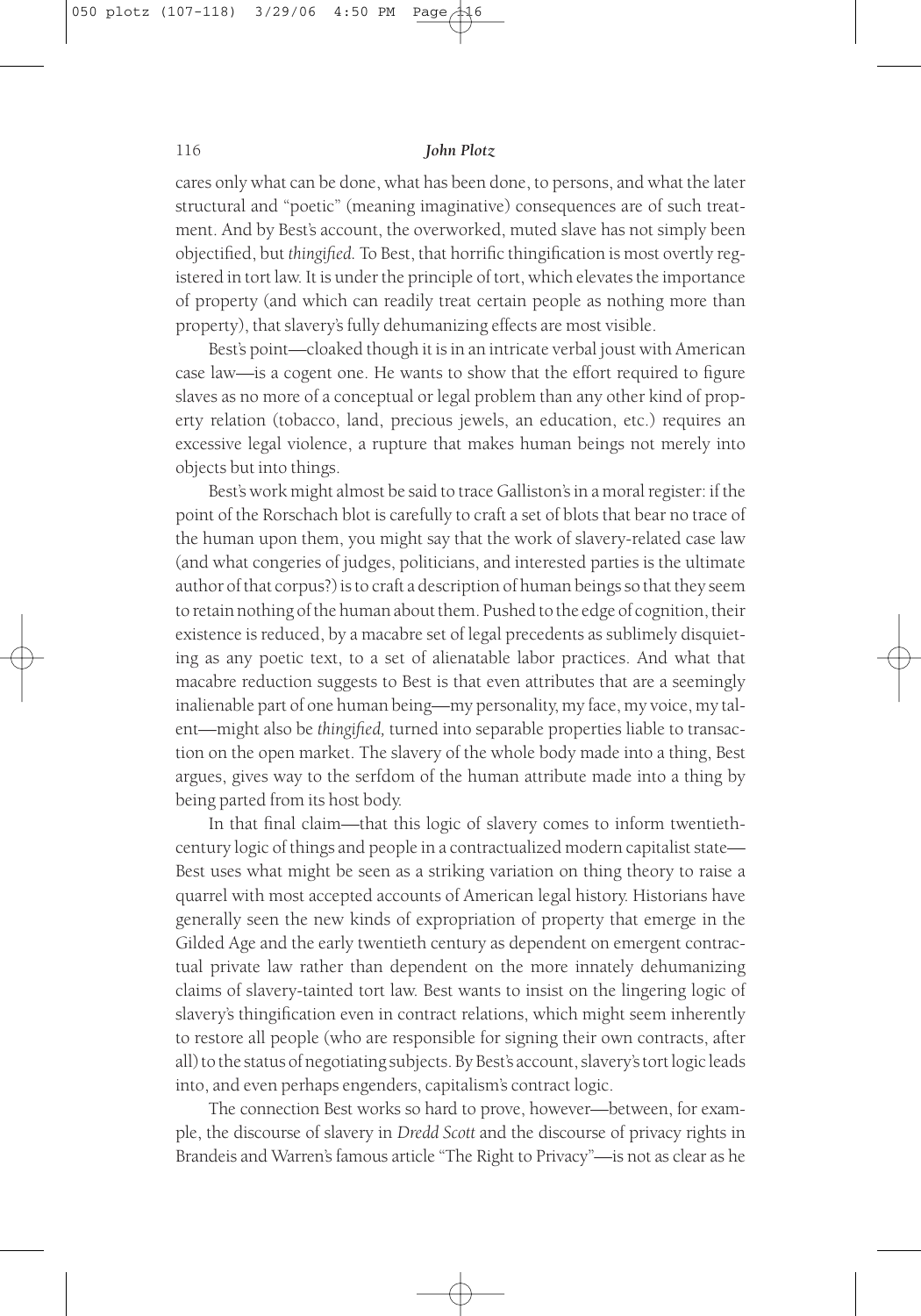cares only what can be done, what has been done, to persons, and what the later structural and "poetic" (meaning imaginative) consequences are of such treatment. And by Best's account, the overworked, muted slave has not simply been objectified, but *thingified.* To Best, that horrific thingification is most overtly registered in tort law. It is under the principle of tort, which elevates the importance of property (and which can readily treat certain people as nothing more than property), that slavery's fully dehumanizing effects are most visible.

Best's point—cloaked though it is in an intricate verbal joust with American case law—is a cogent one. He wants to show that the effort required to figure slaves as no more of a conceptual or legal problem than any other kind of property relation (tobacco, land, precious jewels, an education, etc.) requires an excessive legal violence, a rupture that makes human beings not merely into objects but into things.

Best's work might almost be said to trace Galliston's in a moral register: if the point of the Rorschach blot is carefully to craft a set of blots that bear no trace of the human upon them, you might say that the work of slavery-related case law (and what congeries of judges, politicians, and interested parties is the ultimate author of that corpus?) is to craft a description of human beings so that they seem to retain nothing of the human about them. Pushed to the edge of cognition, their existence is reduced, by a macabre set of legal precedents as sublimely disquieting as any poetic text, to a set of alienatable labor practices. And what that macabre reduction suggests to Best is that even attributes that are a seemingly inalienable part of one human being—my personality, my face, my voice, my talent—might also be *thingified,* turned into separable properties liable to transaction on the open market. The slavery of the whole body made into a thing, Best argues, gives way to the serfdom of the human attribute made into a thing by being parted from its host body.

In that final claim—that this logic of slavery comes to inform twentiethcentury logic of things and people in a contractualized modern capitalist state— Best uses what might be seen as a striking variation on thing theory to raise a quarrel with most accepted accounts of American legal history. Historians have generally seen the new kinds of expropriation of property that emerge in the Gilded Age and the early twentieth century as dependent on emergent contractual private law rather than dependent on the more innately dehumanizing claims of slavery-tainted tort law. Best wants to insist on the lingering logic of slavery's thingification even in contract relations, which might seem inherently to restore all people (who are responsible for signing their own contracts, after all) to the status of negotiating subjects. By Best's account, slavery's tort logic leads into, and even perhaps engenders, capitalism's contract logic.

The connection Best works so hard to prove, however—between, for example, the discourse of slavery in *Dredd Scott* and the discourse of privacy rights in Brandeis and Warren's famous article "The Right to Privacy"—is not as clear as he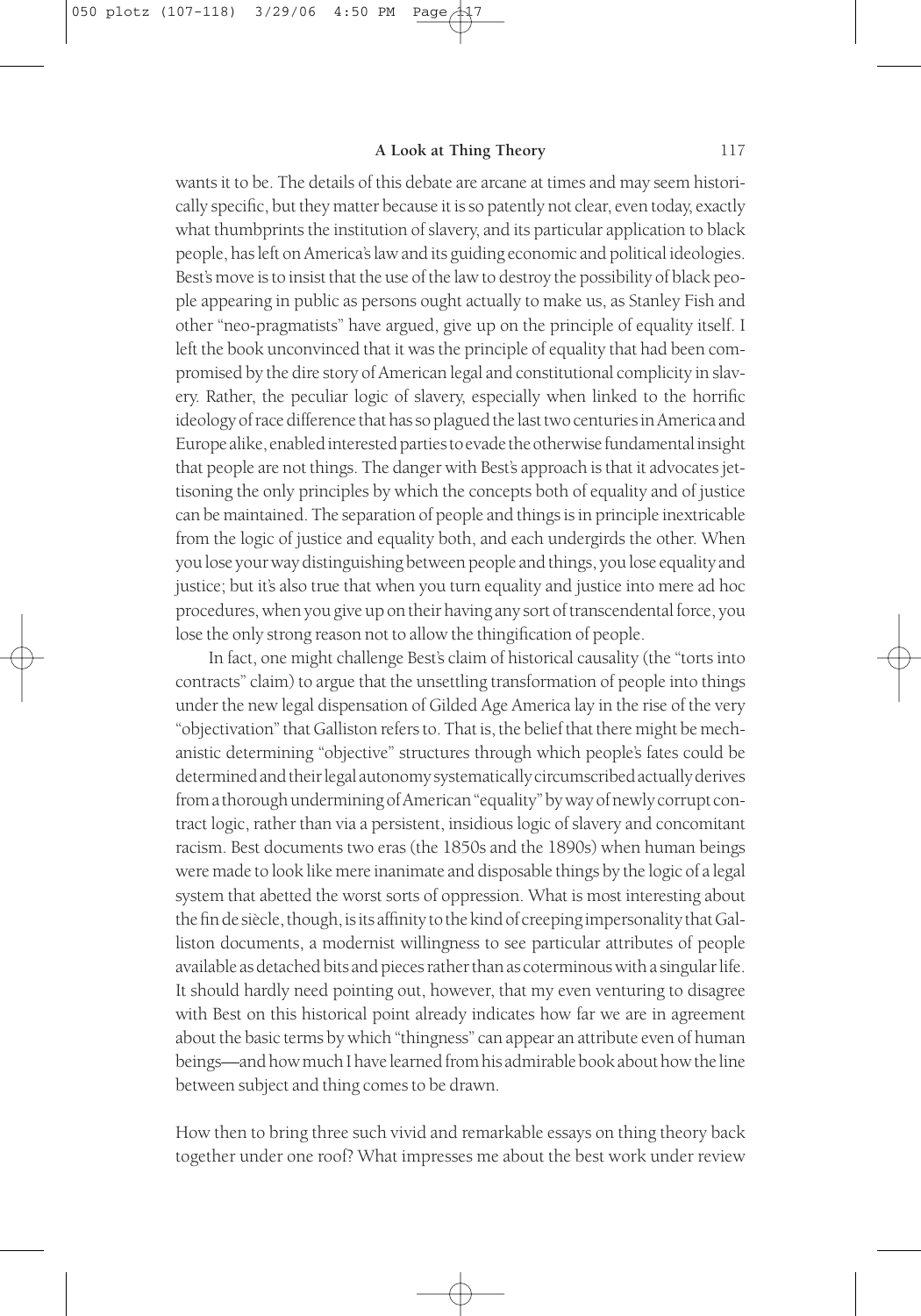wants it to be. The details of this debate are arcane at times and may seem historically specific, but they matter because it is so patently not clear, even today, exactly what thumbprints the institution of slavery, and its particular application to black people, has left on America's law and its guiding economic and political ideologies. Best's move is to insist that the use of the law to destroy the possibility of black people appearing in public as persons ought actually to make us, as Stanley Fish and other "neo-pragmatists" have argued, give up on the principle of equality itself. I left the book unconvinced that it was the principle of equality that had been compromised by the dire story of American legal and constitutional complicity in slavery. Rather, the peculiar logic of slavery, especially when linked to the horrific ideology of race difference that has so plagued the last two centuries in America and Europe alike, enabled interested parties to evade the otherwise fundamental insight that people are not things. The danger with Best's approach is that it advocates jettisoning the only principles by which the concepts both of equality and of justice can be maintained. The separation of people and things is in principle inextricable from the logic of justice and equality both, and each undergirds the other. When you lose your way distinguishing between people and things, you lose equality and justice; but it's also true that when you turn equality and justice into mere ad hoc procedures, when you give up on their having any sort of transcendental force, you lose the only strong reason not to allow the thingification of people.

In fact, one might challenge Best's claim of historical causality (the "torts into contracts" claim) to argue that the unsettling transformation of people into things under the new legal dispensation of Gilded Age America lay in the rise of the very "objectivation" that Galliston refers to. That is, the belief that there might be mechanistic determining "objective" structures through which people's fates could be determined and their legal autonomy systematically circumscribed actually derives from a thorough undermining of American "equality" by way of newly corrupt contract logic, rather than via a persistent, insidious logic of slavery and concomitant racism. Best documents two eras (the 1850s and the 1890s) when human beings were made to look like mere inanimate and disposable things by the logic of a legal system that abetted the worst sorts of oppression. What is most interesting about the fin de siècle, though, is its affinity to the kind of creeping impersonality that Galliston documents, a modernist willingness to see particular attributes of people available as detached bits and pieces rather than as coterminous with a singular life. It should hardly need pointing out, however, that my even venturing to disagree with Best on this historical point already indicates how far we are in agreement about the basic terms by which "thingness" can appear an attribute even of human beings—and how much I have learned from his admirable book about how the line between subject and thing comes to be drawn.

How then to bring three such vivid and remarkable essays on thing theory back together under one roof? What impresses me about the best work under review